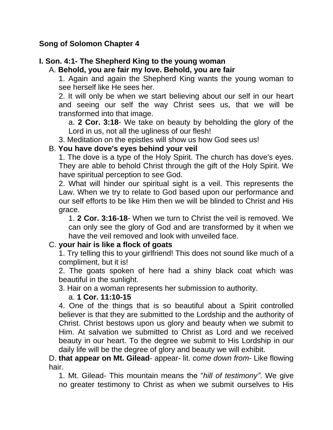#### **Song of Solomon Chapter 4**

# **I. Son. 4:1- The Shepherd King to the young woman**

#### A. **Behold, you are fair my love. Behold, you are fair**

1. Again and again the Shepherd King wants the young woman to see herself like He sees her.

2. It will only be when we start believing about our self in our heart and seeing our self the way Christ sees us, that we will be transformed into that image.

a. **2 Cor. 3:18**- We take on beauty by beholding the glory of the Lord in us, not all the ugliness of our flesh!

3. Meditation on the epistles will show us how God sees us!

### B. **You have dove's eyes behind your veil**

1. The dove is a type of the Holy Spirit. The church has dove's eyes. They are able to behold Christ through the gift of the Holy Spirit. We have spiritual perception to see God.

2. What will hinder our spiritual sight is a veil. This represents the Law. When we try to relate to God based upon our performance and our self efforts to be like Him then we will be blinded to Christ and His grace.

1. **2 Cor. 3:16-18**- When we turn to Christ the veil is removed. We can only see the glory of God and are transformed by it when we have the veil removed and look with unveiled face.

# C. **your hair is like a flock of goats**

1. Try telling this to your girlfriend! This does not sound like much of a compliment, but it is!

2. The goats spoken of here had a shiny black coat which was beautiful in the sunlight.

3. Hair on a woman represents her submission to authority.

# a. **1 Cor. 11:10-15**

4. One of the things that is so beautiful about a Spirit controlled believer is that they are submitted to the Lordship and the authority of Christ. Christ bestows upon us glory and beauty when we submit to Him. At salvation we submitted to Christ as Lord and we received beauty in our heart. To the degree we submit to His Lordship in our daily life will be the degree of glory and beauty we will exhibit.

D. **that appear on Mt. Gilead**- appear- lit. *come down from*- Like flowing hair.

1. Mt. Gilead- This mountain means the "*hill of testimony"*. We give no greater testimony to Christ as when we submit ourselves to His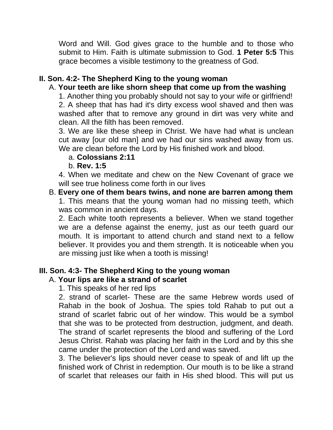Word and Will. God gives grace to the humble and to those who submit to Him. Faith is ultimate submission to God. **1 Peter 5:5** This grace becomes a visible testimony to the greatness of God.

# **II. Son. 4:2- The Shepherd King to the young woman**

# A. **Your teeth are like shorn sheep that come up from the washing**

1. Another thing you probably should not say to your wife or girlfriend! 2. A sheep that has had it's dirty excess wool shaved and then was washed after that to remove any ground in dirt was very white and clean. All the filth has been removed.

3. We are like these sheep in Christ. We have had what is unclean cut away [our old man] and we had our sins washed away from us. We are clean before the Lord by His finished work and blood.

### a. **Colossians 2:11**

b. **Rev. 1:5**

4. When we meditate and chew on the New Covenant of grace we will see true holiness come forth in our lives

#### B. **Every one of them bears twins, and none are barren among them** 1. This means that the young woman had no missing teeth, which was common in ancient days.

2. Each white tooth represents a believer. When we stand together we are a defense against the enemy, just as our teeth guard our mouth. It is important to attend church and stand next to a fellow believer. It provides you and them strength. It is noticeable when you are missing just like when a tooth is missing!

# **III. Son. 4:3- The Shepherd King to the young woman**

# A. **Your lips are like a strand of scarlet**

1. This speaks of her red lips

2. strand of scarlet- These are the same Hebrew words used of Rahab in the book of Joshua. The spies told Rahab to put out a strand of scarlet fabric out of her window. This would be a symbol that she was to be protected from destruction, judgment, and death. The strand of scarlet represents the blood and suffering of the Lord Jesus Christ. Rahab was placing her faith in the Lord and by this she came under the protection of the Lord and was saved.

3. The believer's lips should never cease to speak of and lift up the finished work of Christ in redemption. Our mouth is to be like a strand of scarlet that releases our faith in His shed blood. This will put us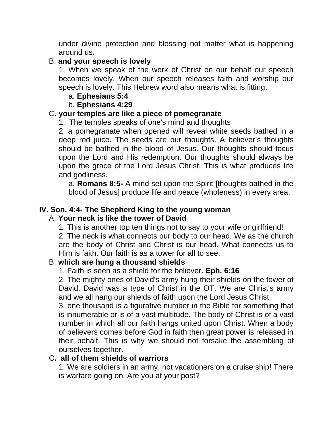under divine protection and blessing not matter what is happening around us.

### B. **and your speech is lovely**

1. When we speak of the work of Christ on our behalf our speech becomes lovely. When our speech releases faith and worship our speech is lovely. This Hebrew word also means what is fitting.

### a. **Ephesians 5:4**

### b. **Ephesians 4:29**

### C. **your temples are like a piece of pomegranate**

1. The temples speaks of one's mind and thoughts

2. a pomegranate when opened will reveal white seeds bathed in a deep red juice. The seeds are our thoughts. A believer's thoughts should be bathed in the blood of Jesus. Our thoughts should focus upon the Lord and His redemption. Our thoughts should always be upon the grace of the Lord Jesus Christ. This is what produces life and godliness.

a. **Romans 8:5-** A mind set upon the Spirit [thoughts bathed in the blood of Jesus] produce life and peace (wholeness) in every area.

# **IV. Son. 4:4- The Shepherd King to the young woman**

# A. **Your neck is like the tower of David**

1. This is another top ten things not to say to your wife or girlfriend!

2. The neck is what connects our body to our head. We as the church are the body of Christ and Christ is our head. What connects us to Him is faith. Our faith is as a tower for all to see.

# B. **which are hung a thousand shields**

1. Faith is seen as a shield for the believer. **Eph. 6:16**

2. The mighty ones of David's army hung their shields on the tower of David. David was a type of Christ in the OT. We are Christ's army and we all hang our shields of faith upon the Lord Jesus Christ.

3. one thousand is a figurative number in the Bible for something that is innumerable or is of a vast multitude. The body of Christ is of a vast number in which all our faith hangs united upon Christ. When a body of believers comes before God in faith then great power is released in their behalf. This is why we should not forsake the assembling of ourselves together.

#### C**. all of them shields of warriors**

1. We are soldiers in an army, not vacationers on a cruise ship! There is warfare going on. Are you at your post?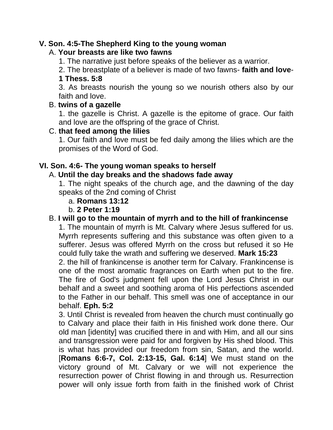### **V. Son. 4:5-The Shepherd King to the young woman**

#### A. **Your breasts are like two fawns**

1. The narrative just before speaks of the believer as a warrior.

2. The breastplate of a believer is made of two fawns- **faith and love**-**1 Thess. 5:8**

3. As breasts nourish the young so we nourish others also by our faith and love.

#### B. **twins of a gazelle**

1. the gazelle is Christ. A gazelle is the epitome of grace. Our faith and love are the offspring of the grace of Christ.

#### C. **that feed among the lilies**

1. Our faith and love must be fed daily among the lilies which are the promises of the Word of God.

#### **VI. Son. 4:6- The young woman speaks to herself**

#### A. **Until the day breaks and the shadows fade away**

1. The night speaks of the church age, and the dawning of the day speaks of the 2nd coming of Christ

#### a. **Romans 13:12**

#### b. **2 Peter 1:19**

### B. **I will go to the mountain of myrrh and to the hill of frankincense**

1. The mountain of myrrh is Mt. Calvary where Jesus suffered for us. Myrrh represents suffering and this substance was often given to a sufferer. Jesus was offered Myrrh on the cross but refused it so He could fully take the wrath and suffering we deserved. **Mark 15:23** 2. the hill of frankincense is another term for Calvary. Frankincense is one of the most aromatic fragrances on Earth when put to the fire. The fire of God's judgment fell upon the Lord Jesus Christ in our behalf and a sweet and soothing aroma of His perfections ascended to the Father in our behalf. This smell was one of acceptance in our behalf. **Eph. 5:2**

3. Until Christ is revealed from heaven the church must continually go to Calvary and place their faith in His finished work done there. Our old man [identity] was crucified there in and with Him, and all our sins and transgression were paid for and forgiven by His shed blood. This is what has provided our freedom from sin, Satan, and the world. [**Romans 6:6-7, Col. 2:13-15, Gal. 6:14**] We must stand on the victory ground of Mt. Calvary or we will not experience the resurrection power of Christ flowing in and through us. Resurrection power will only issue forth from faith in the finished work of Christ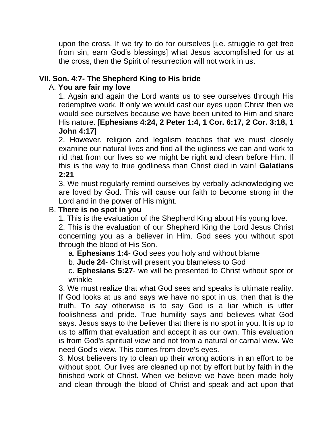upon the cross. If we try to do for ourselves [i.e. struggle to get free from sin, earn God's blessings] what Jesus accomplished for us at the cross, then the Spirit of resurrection will not work in us.

# **VII. Son. 4:7- The Shepherd King to His bride**

### A. **You are fair my love**

1. Again and again the Lord wants us to see ourselves through His redemptive work. If only we would cast our eyes upon Christ then we would see ourselves because we have been united to Him and share His nature. [**Ephesians 4:24, 2 Peter 1:4, 1 Cor. 6:17, 2 Cor. 3:18, 1 John 4:17**]

2. However, religion and legalism teaches that we must closely examine our natural lives and find all the ugliness we can and work to rid that from our lives so we might be right and clean before Him. If this is the way to true godliness than Christ died in vain! **Galatians 2:21**

3. We must regularly remind ourselves by verbally acknowledging we are loved by God. This will cause our faith to become strong in the Lord and in the power of His might.

### B. **There is no spot in you**

1. This is the evaluation of the Shepherd King about His young love.

2. This is the evaluation of our Shepherd King the Lord Jesus Christ concerning you as a believer in Him. God sees you without spot through the blood of His Son.

- a. **Ephesians 1:4** God sees you holy and without blame
- b. **Jude 24** Christ will present you blameless to God

c. **Ephesians 5:27**- we will be presented to Christ without spot or wrinkle

3. We must realize that what God sees and speaks is ultimate reality. If God looks at us and says we have no spot in us, then that is the truth. To say otherwise is to say God is a liar which is utter foolishness and pride. True humility says and believes what God says. Jesus says to the believer that there is no spot in you. It is up to us to affirm that evaluation and accept it as our own. This evaluation is from God's spiritual view and not from a natural or carnal view. We need God's view. This comes from dove's eyes.

3. Most believers try to clean up their wrong actions in an effort to be without spot. Our lives are cleaned up not by effort but by faith in the finished work of Christ. When we believe we have been made holy and clean through the blood of Christ and speak and act upon that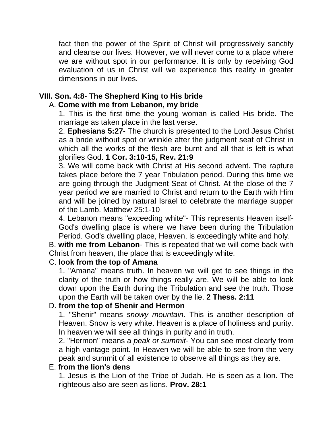fact then the power of the Spirit of Christ will progressively sanctify and cleanse our lives. However, we will never come to a place where we are without spot in our performance. It is only by receiving God evaluation of us in Christ will we experience this reality in greater dimensions in our lives.

# **VIII. Son. 4:8- The Shepherd King to His bride**

# A. **Come with me from Lebanon, my bride**

1. This is the first time the young woman is called His bride. The marriage as taken place in the last verse.

2. **Ephesians 5:27**- The church is presented to the Lord Jesus Christ as a bride without spot or wrinkle after the judgment seat of Christ in which all the works of the flesh are burnt and all that is left is what glorifies God. **1 Cor. 3:10-15, Rev. 21:9**

3. We will come back with Christ at His second advent. The rapture takes place before the 7 year Tribulation period. During this time we are going through the Judgment Seat of Christ. At the close of the 7 year period we are married to Christ and return to the Earth with Him and will be joined by natural Israel to celebrate the marriage supper of the Lamb. Matthew 25:1-10

4. Lebanon means "exceeding white"- This represents Heaven itself-God's dwelling place is where we have been during the Tribulation Period. God's dwelling place, Heaven, is exceedingly white and holy.

B. **with me from Lebanon**- This is repeated that we will come back with Christ from heaven, the place that is exceedingly white.

#### C. **look from the top of Amana**

1. "Amana" means truth. In heaven we will get to see things in the clarity of the truth or how things really are. We will be able to look down upon the Earth during the Tribulation and see the truth. Those upon the Earth will be taken over by the lie. **2 Thess. 2:11**

# D. **from the top of Shenir and Hermon**

1. "Shenir" means *snowy mountain*. This is another description of Heaven. Snow is very white. Heaven is a place of holiness and purity. In heaven we will see all things in purity and in truth.

2. "Hermon" means a *peak or summit*- You can see most clearly from a high vantage point. In Heaven we will be able to see from the very peak and summit of all existence to observe all things as they are.

#### E. **from the lion's dens**

1. Jesus is the Lion of the Tribe of Judah. He is seen as a lion. The righteous also are seen as lions. **Prov. 28:1**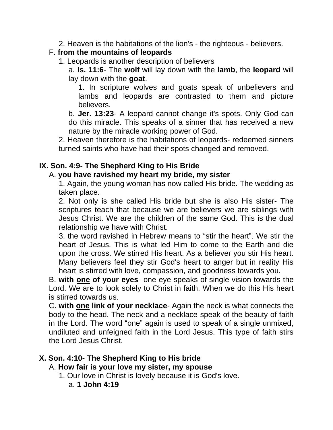2. Heaven is the habitations of the lion's - the righteous - believers.

# F. **from the mountains of leopards**

- 1. Leopards is another description of believers
	- a. **Is. 11:6** The **wolf** will lay down with the **lamb**, the **leopard** will lay down with the **goat**.

1. In scripture wolves and goats speak of unbelievers and lambs and leopards are contrasted to them and picture believers.

b. **Jer. 13:23**- A leopard cannot change it's spots. Only God can do this miracle. This speaks of a sinner that has received a new nature by the miracle working power of God.

2. Heaven therefore is the habitations of leopards- redeemed sinners turned saints who have had their spots changed and removed.

# **IX. Son. 4:9- The Shepherd King to His Bride**

### A. **you have ravished my heart my bride, my sister**

1. Again, the young woman has now called His bride. The wedding as taken place.

2. Not only is she called His bride but she is also His sister- The scriptures teach that because we are believers we are siblings with Jesus Christ. We are the children of the same God. This is the dual relationship we have with Christ.

3. the word ravished in Hebrew means to "stir the heart". We stir the heart of Jesus. This is what led Him to come to the Earth and die upon the cross. We stirred His heart. As a believer you stir His heart. Many believers feel they stir God's heart to anger but in reality His heart is stirred with love, compassion, and goodness towards you.

B. **with one of your eyes**- one eye speaks of single vision towards the Lord. We are to look solely to Christ in faith. When we do this His heart is stirred towards us.

C. **with one link of your necklace**- Again the neck is what connects the body to the head. The neck and a necklace speak of the beauty of faith in the Lord. The word "one" again is used to speak of a single unmixed, undiluted and unfeigned faith in the Lord Jesus. This type of faith stirs the Lord Jesus Christ.

# **X. Son. 4:10- The Shepherd King to His bride**

# A. **How fair is your love my sister, my spouse**

- 1. Our love in Christ is lovely because it is God's love.
	- a. **1 John 4:19**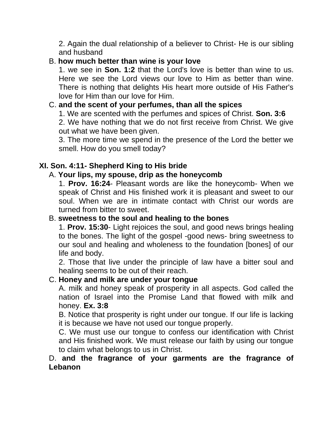2. Again the dual relationship of a believer to Christ- He is our sibling and husband

### B. **how much better than wine is your love**

1. we see in **Son. 1:2** that the Lord's love is better than wine to us. Here we see the Lord views our love to Him as better than wine. There is nothing that delights His heart more outside of His Father's love for Him than our love for Him.

# C. **and the scent of your perfumes, than all the spices**

1. We are scented with the perfumes and spices of Christ. **Son. 3:6** 2. We have nothing that we do not first receive from Christ. We give out what we have been given.

3. The more time we spend in the presence of the Lord the better we smell. How do you smell today?

# **XI. Son. 4:11- Shepherd King to His bride**

### A. **Your lips, my spouse, drip as the honeycomb**

1. **Prov. 16:24**- Pleasant words are like the honeycomb- When we speak of Christ and His finished work it is pleasant and sweet to our soul. When we are in intimate contact with Christ our words are turned from bitter to sweet.

#### B. **sweetness to the soul and healing to the bones**

1. **Prov. 15:30**- Light rejoices the soul, and good news brings healing to the bones. The light of the gospel -good news- bring sweetness to our soul and healing and wholeness to the foundation [bones] of our life and body.

2. Those that live under the principle of law have a bitter soul and healing seems to be out of their reach.

#### C. **Honey and milk are under your tongue**

A. milk and honey speak of prosperity in all aspects. God called the nation of Israel into the Promise Land that flowed with milk and honey. **Ex. 3:8**

B. Notice that prosperity is right under our tongue. If our life is lacking it is because we have not used our tongue properly.

C. We must use our tongue to confess our identification with Christ and His finished work. We must release our faith by using our tongue to claim what belongs to us in Christ.

# D. **and the fragrance of your garments are the fragrance of Lebanon**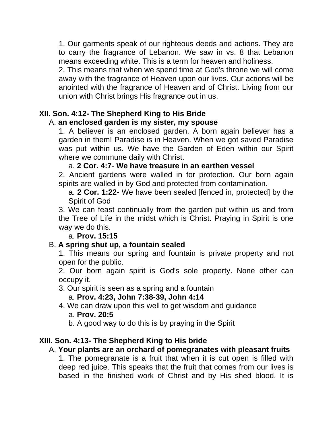1. Our garments speak of our righteous deeds and actions. They are to carry the fragrance of Lebanon. We saw in vs. 8 that Lebanon means exceeding white. This is a term for heaven and holiness.

2. This means that when we spend time at God's throne we will come away with the fragrance of Heaven upon our lives. Our actions will be anointed with the fragrance of Heaven and of Christ. Living from our union with Christ brings His fragrance out in us.

# **XII. Son. 4:12- The Shepherd King to His Bride**

### A. **an enclosed garden is my sister, my spouse**

1. A believer is an enclosed garden. A born again believer has a garden in them! Paradise is in Heaven. When we got saved Paradise was put within us. We have the Garden of Eden within our Spirit where we commune daily with Christ.

#### a. **2 Cor. 4:7**- **We have treasure in an earthen vessel**

2. Ancient gardens were walled in for protection. Our born again spirits are walled in by God and protected from contamination.

a. **2 Cor. 1:22-** We have been sealed [fenced in, protected] by the Spirit of God

3. We can feast continually from the garden put within us and from the Tree of Life in the midst which is Christ. Praying in Spirit is one way we do this.

#### a. **Prov. 15:15**

# B. **A spring shut up, a fountain sealed**

1. This means our spring and fountain is private property and not open for the public.

2. Our born again spirit is God's sole property. None other can occupy it.

3. Our spirit is seen as a spring and a fountain

a. **Prov. 4:23, John 7:38-39, John 4:14**

4. We can draw upon this well to get wisdom and guidance

#### a. **Prov. 20:5**

b. A good way to do this is by praying in the Spirit

# **XIII. Son. 4:13- The Shepherd King to His bride**

# A. **Your plants are an orchard of pomegranates with pleasant fruits**

1. The pomegranate is a fruit that when it is cut open is filled with deep red juice. This speaks that the fruit that comes from our lives is based in the finished work of Christ and by His shed blood. It is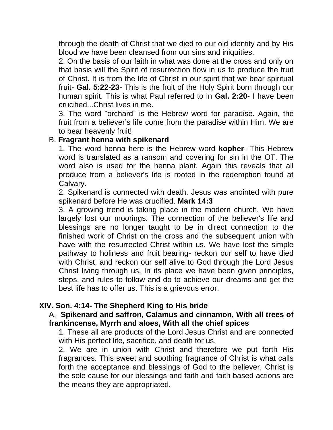through the death of Christ that we died to our old identity and by His blood we have been cleansed from our sins and iniquities.

2. On the basis of our faith in what was done at the cross and only on that basis will the Spirit of resurrection flow in us to produce the fruit of Christ. It is from the life of Christ in our spirit that we bear spiritual fruit- **Gal. 5:22-23**- This is the fruit of the Holy Spirit born through our human spirit. This is what Paul referred to in **Gal. 2:20**- I have been crucified...Christ lives in me.

3. The word "orchard" is the Hebrew word for paradise. Again, the fruit from a believer's life come from the paradise within Him. We are to bear heavenly fruit!

#### B. **Fragrant henna with spikenard**

1. The word henna here is the Hebrew word **kopher**- This Hebrew word is translated as a ransom and covering for sin in the OT. The word also is used for the henna plant. Again this reveals that all produce from a believer's life is rooted in the redemption found at Calvary.

2. Spikenard is connected with death. Jesus was anointed with pure spikenard before He was crucified. **Mark 14:3**

3. A growing trend is taking place in the modern church. We have largely lost our moorings. The connection of the believer's life and blessings are no longer taught to be in direct connection to the finished work of Christ on the cross and the subsequent union with have with the resurrected Christ within us. We have lost the simple pathway to holiness and fruit bearing- reckon our self to have died with Christ, and reckon our self alive to God through the Lord Jesus Christ living through us. In its place we have been given principles, steps, and rules to follow and do to achieve our dreams and get the best life has to offer us. This is a grievous error.

#### **XIV. Son. 4:14- The Shepherd King to His bride**

#### A. **Spikenard and saffron, Calamus and cinnamon, With all trees of frankincense, Myrrh and aloes, With all the chief spices**

1. These all are products of the Lord Jesus Christ and are connected with His perfect life, sacrifice, and death for us.

2. We are in union with Christ and therefore we put forth His fragrances. This sweet and soothing fragrance of Christ is what calls forth the acceptance and blessings of God to the believer. Christ is the sole cause for our blessings and faith and faith based actions are the means they are appropriated.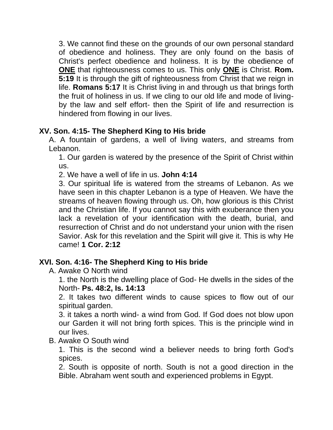3. We cannot find these on the grounds of our own personal standard of obedience and holiness. They are only found on the basis of Christ's perfect obedience and holiness. It is by the obedience of **ONE** that righteousness comes to us. This only **ONE** is Christ. **Rom. 5:19** It is through the gift of righteousness from Christ that we reign in life. **Romans 5:17** It is Christ living in and through us that brings forth the fruit of holiness in us. If we cling to our old life and mode of livingby the law and self effort- then the Spirit of life and resurrection is hindered from flowing in our lives.

# **XV. Son. 4:15- The Shepherd King to His bride**

A. A fountain of gardens, a well of living waters, and streams from Lebanon.

1. Our garden is watered by the presence of the Spirit of Christ within us.

2. We have a well of life in us. **John 4:14**

3. Our spiritual life is watered from the streams of Lebanon. As we have seen in this chapter Lebanon is a type of Heaven. We have the streams of heaven flowing through us. Oh, how glorious is this Christ and the Christian life. If you cannot say this with exuberance then you lack a revelation of your identification with the death, burial, and resurrection of Christ and do not understand your union with the risen Savior. Ask for this revelation and the Spirit will give it. This is why He came! **1 Cor. 2:12**

# **XVI. Son. 4:16- The Shepherd King to His bride**

A. Awake O North wind

1. the North is the dwelling place of God- He dwells in the sides of the North- **Ps. 48:2, Is. 14:13**

2. It takes two different winds to cause spices to flow out of our spiritual garden.

3. it takes a north wind- a wind from God. If God does not blow upon our Garden it will not bring forth spices. This is the principle wind in our lives.

#### B. Awake O South wind

1. This is the second wind a believer needs to bring forth God's spices.

2. South is opposite of north. South is not a good direction in the Bible. Abraham went south and experienced problems in Egypt.